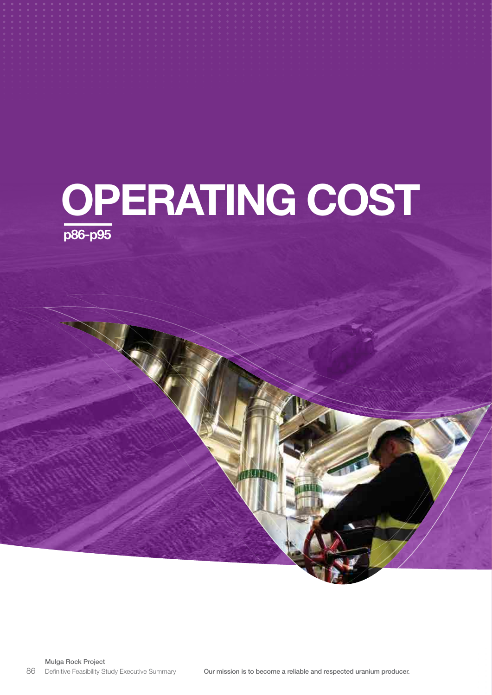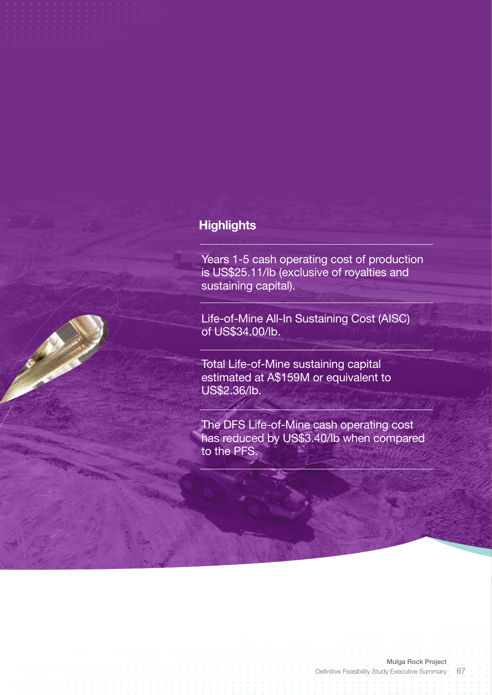# **Highlights**

Years 1-5 cash operating cost of production is US\$25.11/lb (exclusive of royalties and sustaining capital).

Life-of-Mine All-In Sustaining Cost (AISC) of US\$34.00/lb.

Total Life-of-Mine sustaining capital estimated at A\$159M or equivalent to US\$2.36/lb.

The DFS Life-of-Mine cash operating cost has reduced by US\$3.40/lb when compared to the PFS.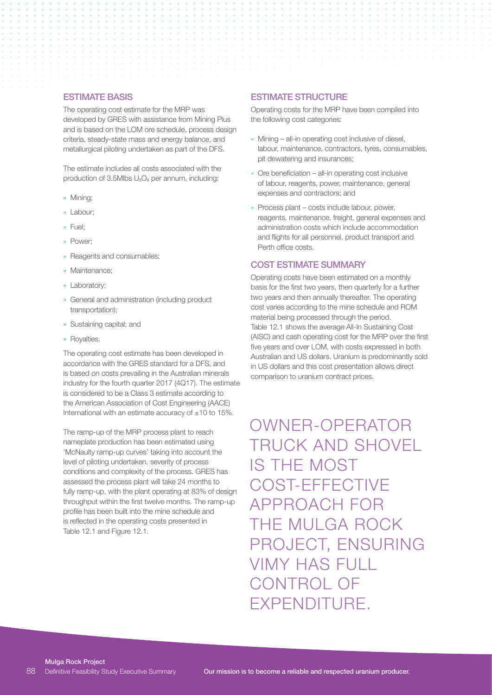### ESTIMATE BASIS

The operating cost estimate for the MRP was developed by GRES with assistance from Mining Plus and is based on the LOM ore schedule, process design criteria, steady-state mass and energy balance, and metallurgical piloting undertaken as part of the DFS.

The estimate includes all costs associated with the production of 3.5Mlbs  $U_3O_8$  per annum, including:

- » Mining;
- » Labour;
- » Fuel;
- » Power;
- » Reagents and consumables;
- » Maintenance;
- » Laboratory;
- » General and administration (including product transportation);
- » Sustaining capital; and
- » Royalties.

The operating cost estimate has been developed in accordance with the GRES standard for a DFS, and is based on costs prevailing in the Australian minerals industry for the fourth quarter 2017 (4Q17). The estimate is considered to be a Class 3 estimate according to the American Association of Cost Engineering (AACE) International with an estimate accuracy of  $+10$  to  $15\%$ .

The ramp-up of the MRP process plant to reach nameplate production has been estimated using 'McNaulty ramp-up curves' taking into account the level of piloting undertaken, severity of process conditions and complexity of the process. GRES has assessed the process plant will take 24 months to fully ramp-up, with the plant operating at 83% of design throughput within the first twelve months. The ramp-up profile has been built into the mine schedule and is reflected in the operating costs presented in Table 12.1 and Figure 12.1.

### ESTIMATE STRUCTURE

Operating costs for the MRP have been compiled into the following cost categories:

- » Mining all-in operating cost inclusive of diesel, labour, maintenance, contractors, tyres, consumables, pit dewatering and insurances;
- » Ore beneficiation all-in operating cost inclusive of labour, reagents, power, maintenance, general expenses and contractors; and
- » Process plant costs include labour, power, reagents, maintenance, freight, general expenses and administration costs which include accommodation and flights for all personnel, product transport and Perth office costs.

#### COST ESTIMATE SUMMARY

Operating costs have been estimated on a monthly basis for the first two years, then quarterly for a further two years and then annually thereafter. The operating cost varies according to the mine schedule and ROM material being processed through the period. Table 12.1 shows the average All-In Sustaining Cost (AISC) and cash operating cost for the MRP over the first five years and over LOM, with costs expressed in both Australian and US dollars. Uranium is predominantly sold in US dollars and this cost presentation allows direct comparison to uranium contract prices.

OWNER-OPERATOR TRUCK AND SHOVEL IS THE MOST COST-EFFECTIVE APPROACH FOR THE MULGA ROCK PROJECT, ENSURING VIMY HAS FULL CONTROL OF EXPENDITURE.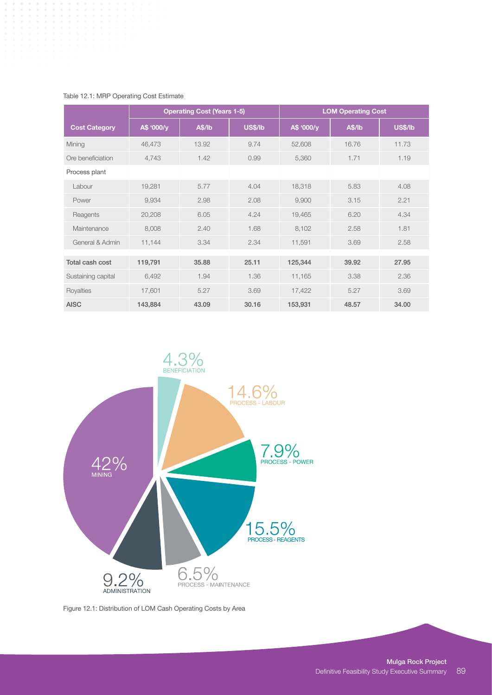|                      |            | <b>Operating Cost (Years 1-5)</b> |                | <b>LOM Operating Cost</b> |        |                |  |  |  |  |
|----------------------|------------|-----------------------------------|----------------|---------------------------|--------|----------------|--|--|--|--|
| <b>Cost Category</b> | A\$ '000/y | A\$/lb                            | <b>US\$/lb</b> | A\$ '000/y                | A\$/lb | <b>US\$/lb</b> |  |  |  |  |
| Mining               | 46,473     | 13.92                             | 9.74           | 52,608                    | 16.76  | 11.73          |  |  |  |  |
| Ore beneficiation    | 4,743      | 1.42                              | 0.99           | 5,360                     | 1.71   | 1.19           |  |  |  |  |
| Process plant        |            |                                   |                |                           |        |                |  |  |  |  |
| Labour               | 19,281     | 5.77                              | 4.04           | 18,318                    | 5.83   | 4.08           |  |  |  |  |
| Power                | 9,934      | 2.98                              | 2.08           | 9,900                     | 3.15   | 2.21           |  |  |  |  |
| Reagents             | 20,208     | 6.05                              | 4.24           | 19,465                    | 6.20   | 4.34           |  |  |  |  |
| Maintenance          | 8,008      | 2.40                              | 1.68           | 8,102                     | 2.58   | 1.81           |  |  |  |  |
| General & Admin      | 11,144     | 3.34                              | 2.34           | 11,591                    | 3.69   | 2.58           |  |  |  |  |
|                      |            |                                   |                |                           |        |                |  |  |  |  |
| Total cash cost      | 119,791    | 35,88                             | 25.11          | 125,344                   | 39.92  | 27.95          |  |  |  |  |
| Sustaining capital   | 6,492      | 1.94                              | 1.36           | 11,165                    | 3.38   | 2.36           |  |  |  |  |
| Royalties            | 17,601     | 5.27                              | 3.69           | 17,422                    | 5.27   | 3.69           |  |  |  |  |
| <b>AISC</b>          | 143,884    | 43.09                             | 30.16          | 153,931                   | 48.57  | 34.00          |  |  |  |  |

### Table 12.1: MRP Operating Cost Estimate



Figure 12.1: Distribution of LOM Cash Operating Costs by Area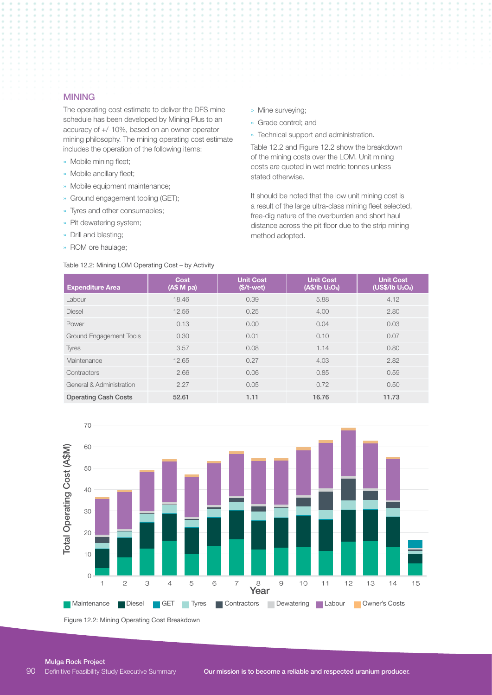#### MINING

The operating cost estimate to deliver the DFS mine schedule has been developed by Mining Plus to an accuracy of +/-10%, based on an owner-operator mining philosophy. The mining operating cost estimate includes the operation of the following items:

- » Mobile mining fleet;
- » Mobile ancillary fleet;
- » Mobile equipment maintenance;
- » Ground engagement tooling (GET);
- » Tyres and other consumables;
- » Pit dewatering system;
- » Drill and blasting;
- » ROM ore haulage;

#### Table 12.2: Mining LOM Operating Cost – by Activity

» Mine surveying;

- » Grade control; and
- » Technical support and administration.

Table 12.2 and Figure 12.2 show the breakdown of the mining costs over the LOM. Unit mining costs are quoted in wet metric tonnes unless stated otherwise.

It should be noted that the low unit mining cost is a result of the large ultra-class mining fleet selected, free-dig nature of the overburden and short haul distance across the pit floor due to the strip mining method adopted.

| <b>Expenditure Area</b>     | <b>Cost</b><br>(AS M pa) | <b>Unit Cost</b><br>$($/t-wet)$ | <b>Unit Cost</b><br>(AS/lb U <sub>3</sub> O <sub>8</sub> ) | <b>Unit Cost</b><br>(US\$/lb U <sub>3</sub> O <sub>8</sub> ) |
|-----------------------------|--------------------------|---------------------------------|------------------------------------------------------------|--------------------------------------------------------------|
| Labour                      | 18.46                    | 0.39                            | 5.88                                                       | 4.12                                                         |
| <b>Diesel</b>               | 12.56                    | 0.25                            | 4.00                                                       | 2.80                                                         |
| Power                       | 0.13                     | 0.00                            | 0.04                                                       | 0.03                                                         |
| Ground Engagement Tools     | 0.30                     | 0.01                            | 0.10                                                       | 0.07                                                         |
| <b>Tyres</b>                | 3.57                     | 0.08                            | 1.14                                                       | 0.80                                                         |
| Maintenance                 | 12.65                    | 0.27                            | 4.03                                                       | 2.82                                                         |
| Contractors                 | 2.66                     | 0.06                            | 0.85                                                       | 0.59                                                         |
| General & Administration    | 2.27                     | 0.05                            | 0.72                                                       | 0.50                                                         |
| <b>Operating Cash Costs</b> | 52.61                    | 1.11                            | 16.76                                                      | 11.73                                                        |



Figure 12.2: Mining Operating Cost Breakdown

#### Mulga Rock Project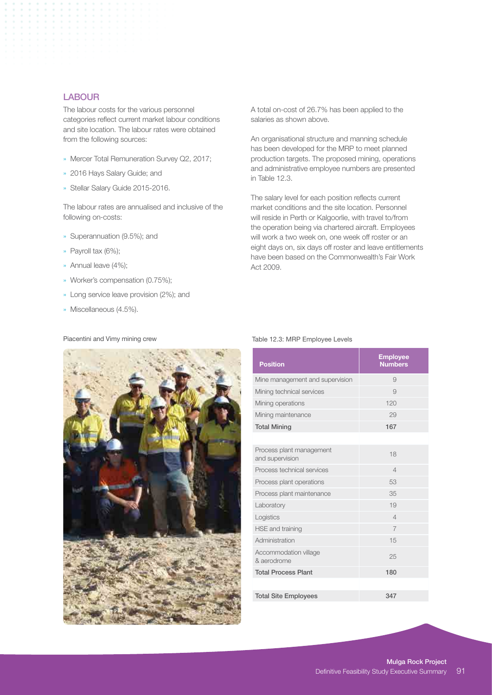## LABOUR

The labour costs for the various personnel categories reflect current market labour conditions and site location. The labour rates were obtained from the following sources:

- » Mercer Total Remuneration Survey Q2, 2017;
- » 2016 Hays Salary Guide; and
- » Stellar Salary Guide 2015-2016.

The labour rates are annualised and inclusive of the following on-costs:

- » Superannuation (9.5%); and
- » Payroll tax (6%);
- » Annual leave (4%);
- » Worker's compensation (0.75%);
- » Long service leave provision (2%); and
- » Miscellaneous (4.5%).

Piacentini and Vimy mining crew

A total on-cost of 26.7% has been applied to the salaries as shown above.

An organisational structure and manning schedule has been developed for the MRP to meet planned production targets. The proposed mining, operations and administrative employee numbers are presented in Table 12.3.

The salary level for each position reflects current market conditions and the site location. Personnel will reside in Perth or Kalgoorlie, with travel to/from the operation being via chartered aircraft. Employees will work a two week on, one week off roster or an eight days on, six days off roster and leave entitlements have been based on the Commonwealth's Fair Work Act 2009.



#### Table 12.3: MRP Employee Levels

| <b>Position</b>                             | <b>Employee</b><br><b>Numbers</b> |
|---------------------------------------------|-----------------------------------|
| Mine management and supervision             | 9                                 |
| Mining technical services                   | 9                                 |
| Mining operations                           | 120                               |
| Mining maintenance                          | 29                                |
| <b>Total Mining</b>                         | 167                               |
|                                             |                                   |
| Process plant management<br>and supervision | 18                                |
| Process technical services                  | $\overline{4}$                    |
| Process plant operations                    | 53                                |
| Process plant maintenance                   | 35                                |
| Laboratory                                  | 19                                |
| Logistics                                   | $\overline{4}$                    |
| <b>HSE and training</b>                     | $\overline{7}$                    |
| Administration                              | 15                                |
| Accommodation village<br>& aerodrome        | 25                                |
| <b>Total Process Plant</b>                  | 180                               |
|                                             |                                   |
| <b>Total Site Employees</b>                 | 347                               |
|                                             |                                   |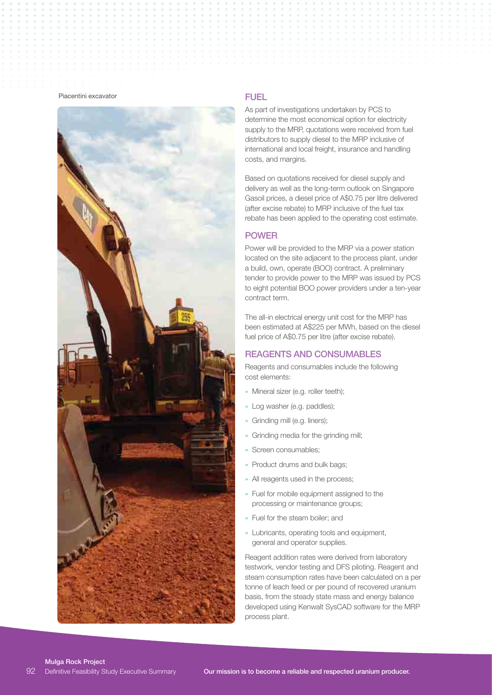#### Piacentini excavator



### FUEL

As part of investigations undertaken by PCS to determine the most economical option for electricity supply to the MRP, quotations were received from fuel distributors to supply diesel to the MRP inclusive of international and local freight, insurance and handling costs, and margins.

Based on quotations received for diesel supply and delivery as well as the long-term outlook on Singapore Gasoil prices, a diesel price of A\$0.75 per litre delivered (after excise rebate) to MRP inclusive of the fuel tax rebate has been applied to the operating cost estimate.

#### POWER

Power will be provided to the MRP via a power station located on the site adjacent to the process plant, under a build, own, operate (BOO) contract. A preliminary tender to provide power to the MRP was issued by PCS to eight potential BOO power providers under a ten-year contract term.

The all-in electrical energy unit cost for the MRP has been estimated at A\$225 per MWh, based on the diesel fuel price of A\$0.75 per litre (after excise rebate).

#### REAGENTS AND CONSUMABLES

Reagents and consumables include the following cost elements:

- » Mineral sizer (e.g. roller teeth);
- Log washer (e.g. paddles);
- » Grinding mill (e.g. liners);
- » Grinding media for the grinding mill;
- » Screen consumables;
- » Product drums and bulk bags;
- » All reagents used in the process;
- » Fuel for mobile equipment assigned to the processing or maintenance groups;
- » Fuel for the steam boiler; and
- » Lubricants, operating tools and equipment, general and operator supplies.

Reagent addition rates were derived from laboratory testwork, vendor testing and DFS piloting. Reagent and steam consumption rates have been calculated on a per tonne of leach feed or per pound of recovered uranium basis, from the steady state mass and energy balance developed using Kenwalt SysCAD software for the MRP process plant.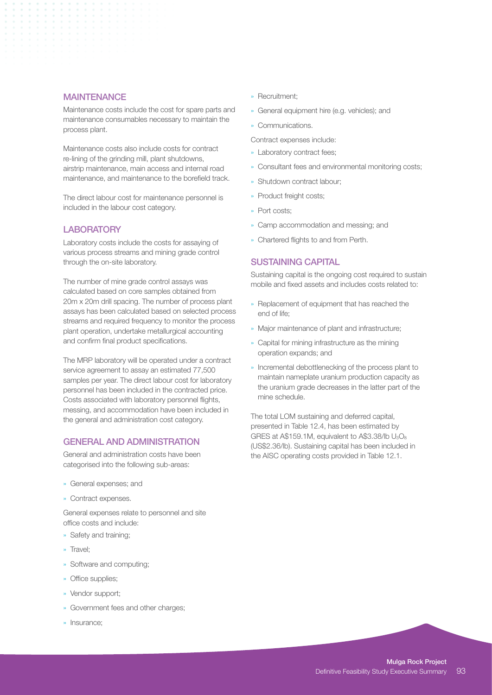#### **MAINTENANCE**

Maintenance costs include the cost for spare parts and maintenance consumables necessary to maintain the process plant.

Maintenance costs also include costs for contract re-lining of the grinding mill, plant shutdowns, airstrip maintenance, main access and internal road maintenance, and maintenance to the borefield track.

The direct labour cost for maintenance personnel is included in the labour cost category.

#### LABORATORY

Laboratory costs include the costs for assaying of various process streams and mining grade control through the on-site laboratory.

The number of mine grade control assays was calculated based on core samples obtained from 20m x 20m drill spacing. The number of process plant assays has been calculated based on selected process streams and required frequency to monitor the process plant operation, undertake metallurgical accounting and confirm final product specifications.

The MRP laboratory will be operated under a contract service agreement to assay an estimated 77,500 samples per year. The direct labour cost for laboratory personnel has been included in the contracted price. Costs associated with laboratory personnel flights, messing, and accommodation have been included in the general and administration cost category.

### GENERAL AND ADMINISTRATION

General and administration costs have been categorised into the following sub-areas:

- » General expenses; and
- » Contract expenses.

General expenses relate to personnel and site office costs and include:

- » Safety and training;
- » Travel;
- » Software and computing;
- » Office supplies;
- » Vendor support;
- » Government fees and other charges;
- » Insurance;
- » Recruitment;
- » General equipment hire (e.g. vehicles); and
- » Communications.

Contract expenses include:

- » Laboratory contract fees;
- » Consultant fees and environmental monitoring costs;
- » Shutdown contract labour;
- » Product freight costs;
- » Port costs;
- » Camp accommodation and messing; and
- » Chartered flights to and from Perth.

### SUSTAINING CAPITAL

Sustaining capital is the ongoing cost required to sustain mobile and fixed assets and includes costs related to:

- » Replacement of equipment that has reached the end of life;
- » Major maintenance of plant and infrastructure;
- » Capital for mining infrastructure as the mining operation expands; and
- » Incremental debottlenecking of the process plant to maintain nameplate uranium production capacity as the uranium grade decreases in the latter part of the mine schedule.

The total LOM sustaining and deferred capital, presented in Table 12.4, has been estimated by GRES at A\$159.1M, equivalent to A\$3.38/lb  $U_3O_8$ (US\$2.36/lb). Sustaining capital has been included in the AISC operating costs provided in Table 12.1.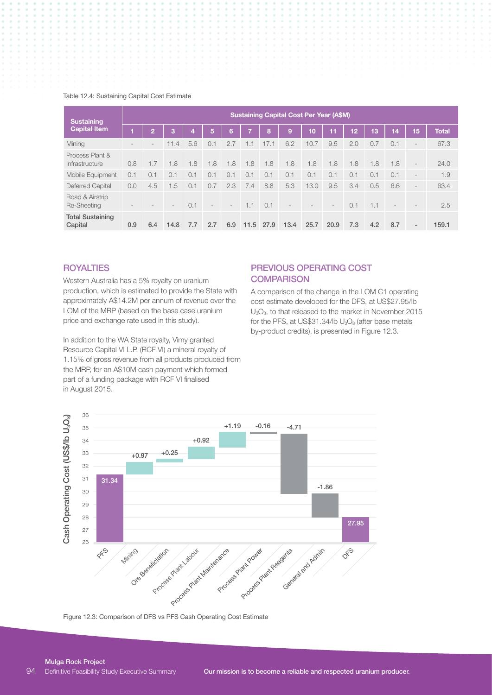#### Table 12.4: Sustaining Capital Cost Estimate

| <b>Sustaining</b><br><b>Capital Item</b> | <b>Sustaining Capital Cost Per Year (A\$M)</b> |     |                 |     |                          |                          |      |      |      |      |                          |                 |     |     |                          |              |
|------------------------------------------|------------------------------------------------|-----|-----------------|-----|--------------------------|--------------------------|------|------|------|------|--------------------------|-----------------|-----|-----|--------------------------|--------------|
|                                          |                                                | 2   | 3               | 4   | 5,                       | 6                        |      | 8    | Ι9,  | 10   | 11                       | 12 <sub>2</sub> | 13  | 14  | 15                       | <b>Total</b> |
| Mining                                   |                                                |     | 11.4            | 5.6 | 0.1                      | 2.7                      | 1.1  | 17.1 | 6.2  | 10.7 | 9.5                      | 2.0             | 0.7 | 0.1 | $\overline{\phantom{0}}$ | 67.3         |
| Process Plant &<br>Infrastructure        | 0.8                                            | 1.7 | 1.8             | 1.8 | 1.8                      | 1.8                      | 1.8  | 1.8  | 1.8  | 1.8  | 1.8                      | 1.8             | 1.8 | 1.8 | $\overline{\phantom{a}}$ | 24.0         |
| Mobile Equipment                         | 0.1                                            | 0.1 | 0.1             | 0.1 | 0.1                      | 0.1                      | 0.1  | 0.1  | 0.1  | 0.1  | 0.1                      | 0.1             | 0.1 | 0.1 | $\overline{\phantom{a}}$ | 1.9          |
| <b>Deferred Capital</b>                  | 0.0                                            | 4.5 | 1.5             | 0.1 | 0.7                      | 2.3                      | 7.4  | 8.8  | 5.3  | 13.0 | 9.5                      | 3.4             | 0.5 | 6.6 | $\overline{\phantom{a}}$ | 63.4         |
| Road & Airstrip<br>Re-Sheeting           |                                                |     | $\qquad \qquad$ | 0.1 | $\overline{\phantom{a}}$ | $\overline{\phantom{a}}$ | 1.1  | 0.1  |      |      | $\overline{\phantom{a}}$ | 0.1             | 1.1 |     |                          | 2.5          |
| <b>Total Sustaining</b><br>Capital       | 0.9                                            | 6.4 | 14.8            | 7.7 | 2.7                      | 6.9                      | 11.5 | 27.9 | 13.4 | 25.7 | 20.9                     | 7.3             | 4.2 | 8.7 | $\overline{\phantom{a}}$ | 159.1        |

# **ROYALTIES**

Western Australia has a 5% royalty on uranium production, which is estimated to provide the State with approximately A\$14.2M per annum of revenue over the LOM of the MRP (based on the base case uranium price and exchange rate used in this study).

In addition to the WA State royalty, Vimy granted Resource Capital VI L.P. (RCF VI) a mineral royalty of 1.15% of gross revenue from all products produced from the MRP, for an A\$10M cash payment which formed part of a funding package with RCF VI finalised in August 2015.

## PREVIOUS OPERATING COST **COMPARISON**

A comparison of the change in the LOM C1 operating cost estimate developed for the DFS, at US\$27.95/lb U<sub>3</sub>O<sub>8</sub>, to that released to the market in November 2015 for the PFS, at US\$31.34/lb  $U<sub>3</sub>O<sub>8</sub>$  (after base metals by-product credits), is presented in Figure 12.3.